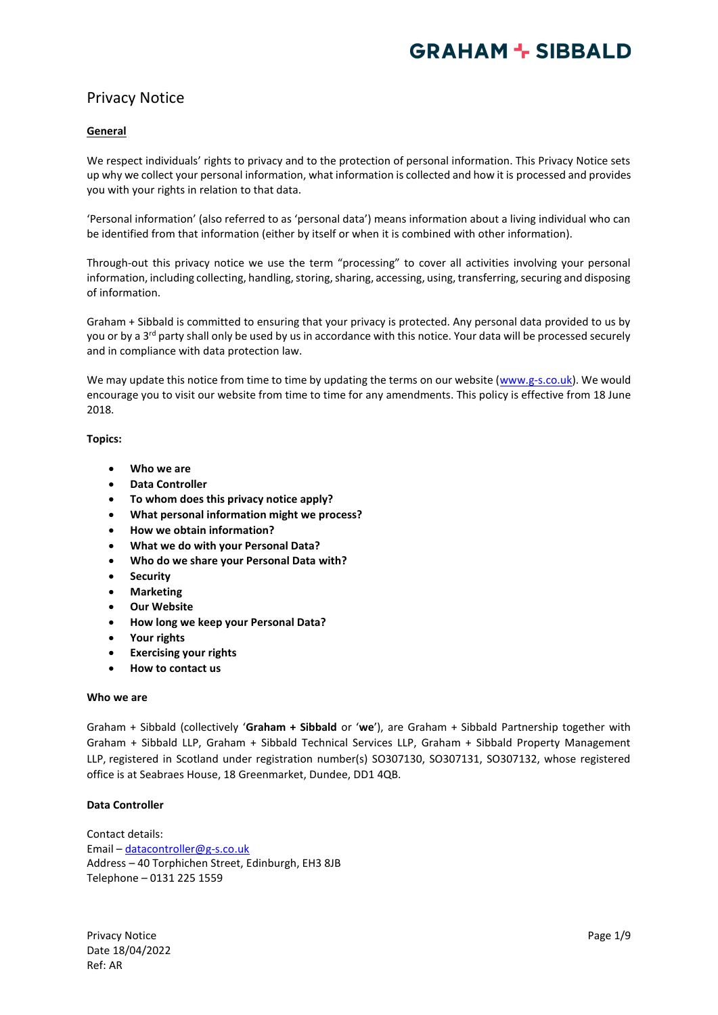## Privacy Notice

## **General**

We respect individuals' rights to privacy and to the protection of personal information. This Privacy Notice sets up why we collect your personal information, what information is collected and how it is processed and provides you with your rights in relation to that data.

'Personal information' (also referred to as 'personal data') means information about a living individual who can be identified from that information (either by itself or when it is combined with other information).

Through-out this privacy notice we use the term "processing" to cover all activities involving your personal information, including collecting, handling, storing, sharing, accessing, using, transferring, securing and disposing of information.

Graham + Sibbald is committed to ensuring that your privacy is protected. Any personal data provided to us by you or by a 3<sup>rd</sup> party shall only be used by us in accordance with this notice. Your data will be processed securely and in compliance with data protection law.

We may update this notice from time to time by updating the terms on our website [\(www.g-s.co.uk\)](http://www.g-s.co.uk/). We would encourage you to visit our website from time to time for any amendments. This policy is effective from 18 June 2018.

### **Topics:**

- **Who we are**
- **Data Controller**
- **To whom does this privacy notice apply?**
- **What personal information might we process?**
- **How we obtain information?**
- **What we do with your Personal Data?**
- **Who do we share your Personal Data with?**
- **Security**
- **Marketing**
- **Our Website**
- **How long we keep your Personal Data?**
- **Your rights**
- **Exercising your rights**
- **How to contact us**

#### **Who we are**

Graham + Sibbald (collectively '**Graham + Sibbald** or '**we**'), are Graham + Sibbald Partnership together with Graham + Sibbald LLP, Graham + Sibbald Technical Services LLP, Graham + Sibbald Property Management LLP, registered in Scotland under registration number(s) SO307130, SO307131, SO307132, whose registered office is at Seabraes House, 18 Greenmarket, Dundee, DD1 4QB.

#### **Data Controller**

Contact details: Email – [datacontroller@g-s.co.uk](mailto:datacontroller@g-s.co.uk) Address – 40 Torphichen Street, Edinburgh, EH3 8JB Telephone – 0131 225 1559

Privacy Notice **Page 1/9** Date 18/04/2022 Ref: AR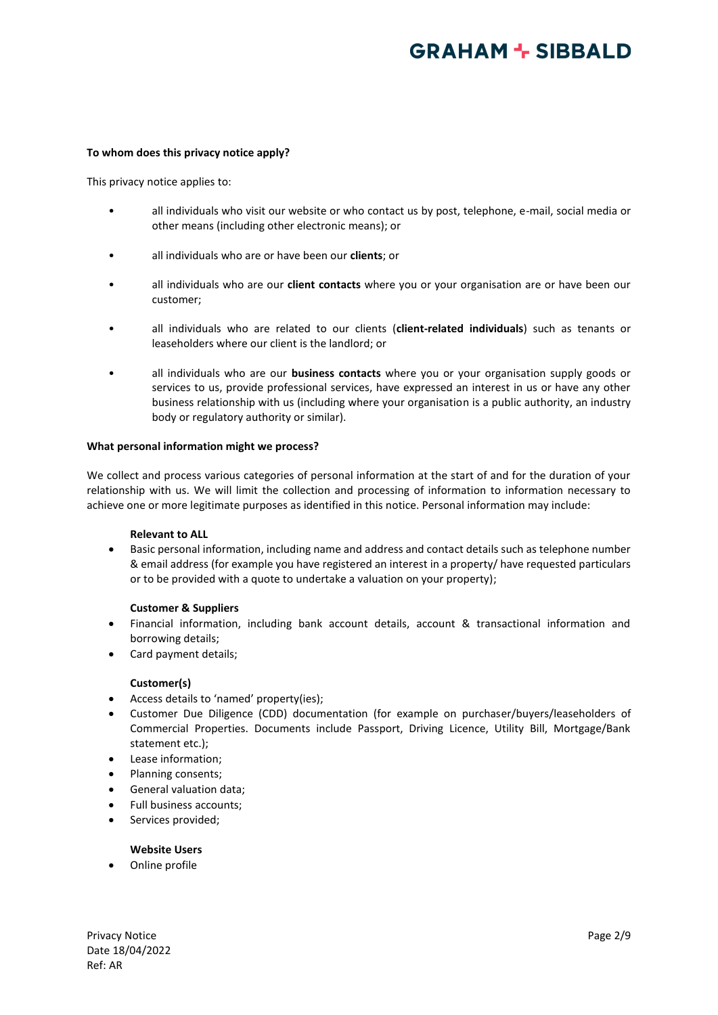#### **To whom does this privacy notice apply?**

This privacy notice applies to:

- all individuals who visit our website or who contact us by post, telephone, e-mail, social media or other means (including other electronic means); or
- all individuals who are or have been our **clients**; or
- all individuals who are our **client contacts** where you or your organisation are or have been our customer;
- all individuals who are related to our clients (**client-related individuals**) such as tenants or leaseholders where our client is the landlord; or
- all individuals who are our **business contacts** where you or your organisation supply goods or services to us, provide professional services, have expressed an interest in us or have any other business relationship with us (including where your organisation is a public authority, an industry body or regulatory authority or similar).

#### **What personal information might we process?**

We collect and process various categories of personal information at the start of and for the duration of your relationship with us. We will limit the collection and processing of information to information necessary to achieve one or more legitimate purposes as identified in this notice. Personal information may include:

#### **Relevant to ALL**

• Basic personal information, including name and address and contact details such as telephone number & email address (for example you have registered an interest in a property/ have requested particulars or to be provided with a quote to undertake a valuation on your property);

## **Customer & Suppliers**

- Financial information, including bank account details, account & transactional information and borrowing details;
- Card payment details;

#### **Customer(s)**

- Access details to 'named' property(ies);
- Customer Due Diligence (CDD) documentation (for example on purchaser/buyers/leaseholders of Commercial Properties. Documents include Passport, Driving Licence, Utility Bill, Mortgage/Bank statement etc.);
- Lease information;
- Planning consents;
- General valuation data;
- Full business accounts;
- Services provided;

## **Website Users**

• Online profile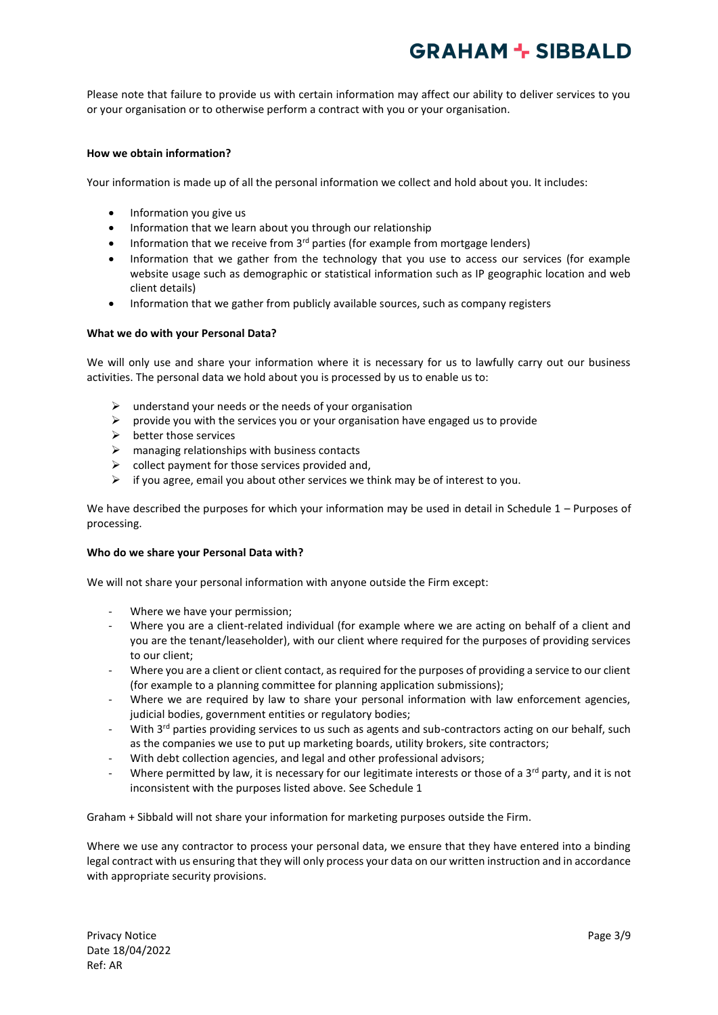Please note that failure to provide us with certain information may affect our ability to deliver services to you or your organisation or to otherwise perform a contract with you or your organisation.

### **How we obtain information?**

Your information is made up of all the personal information we collect and hold about you. It includes:

- Information you give us
- Information that we learn about you through our relationship
- Information that we receive from  $3<sup>rd</sup>$  parties (for example from mortgage lenders)
- Information that we gather from the technology that you use to access our services (for example website usage such as demographic or statistical information such as IP geographic location and web client details)
- Information that we gather from publicly available sources, such as company registers

#### **What we do with your Personal Data?**

We will only use and share your information where it is necessary for us to lawfully carry out our business activities. The personal data we hold about you is processed by us to enable us to:

- $\triangleright$  understand your needs or the needs of your organisation
- $\triangleright$  provide you with the services you or your organisation have engaged us to provide
- $\triangleright$  better those services
- $\triangleright$  managing relationships with business contacts
- $\triangleright$  collect payment for those services provided and,
- $\triangleright$  if you agree, email you about other services we think may be of interest to you.

We have described the purposes for which your information may be used in detail in Schedule 1 – Purposes of processing.

#### **Who do we share your Personal Data with?**

We will not share your personal information with anyone outside the Firm except:

- Where we have your permission;
- Where you are a client-related individual (for example where we are acting on behalf of a client and you are the tenant/leaseholder), with our client where required for the purposes of providing services to our client;
- Where you are a client or client contact, as required for the purposes of providing a service to our client (for example to a planning committee for planning application submissions);
- Where we are required by law to share your personal information with law enforcement agencies, judicial bodies, government entities or regulatory bodies;
- With 3<sup>rd</sup> parties providing services to us such as agents and sub-contractors acting on our behalf, such as the companies we use to put up marketing boards, utility brokers, site contractors;
- With debt collection agencies, and legal and other professional advisors;
- Where permitted by law, it is necessary for our legitimate interests or those of a 3<sup>rd</sup> party, and it is not inconsistent with the purposes listed above. See Schedule 1

Graham + Sibbald will not share your information for marketing purposes outside the Firm.

Where we use any contractor to process your personal data, we ensure that they have entered into a binding legal contract with us ensuring that they will only process your data on our written instruction and in accordance with appropriate security provisions.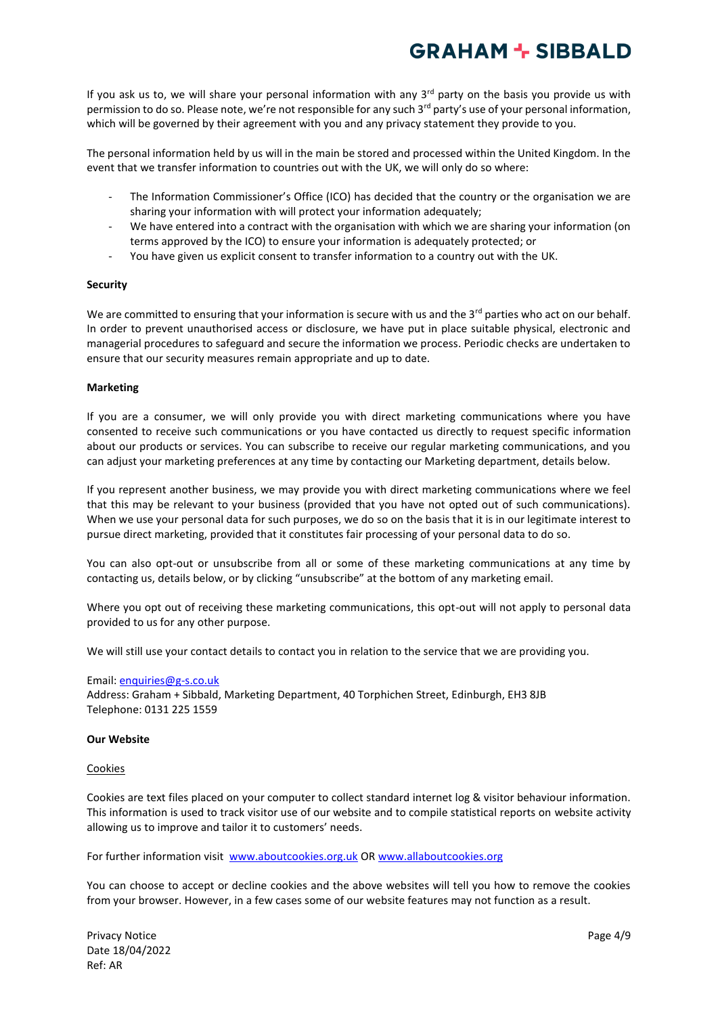If you ask us to, we will share your personal information with any  $3<sup>rd</sup>$  party on the basis you provide us with permission to do so. Please note, we're not responsible for any such 3<sup>rd</sup> party's use of your personal information, which will be governed by their agreement with you and any privacy statement they provide to you.

The personal information held by us will in the main be stored and processed within the United Kingdom. In the event that we transfer information to countries out with the UK, we will only do so where:

- The Information Commissioner's Office (ICO) has decided that the country or the organisation we are sharing your information with will protect your information adequately;
- We have entered into a contract with the organisation with which we are sharing your information (on terms approved by the ICO) to ensure your information is adequately protected; or
- You have given us explicit consent to transfer information to a country out with the UK.

### **Security**

We are committed to ensuring that your information is secure with us and the  $3^{rd}$  parties who act on our behalf. In order to prevent unauthorised access or disclosure, we have put in place suitable physical, electronic and managerial procedures to safeguard and secure the information we process. Periodic checks are undertaken to ensure that our security measures remain appropriate and up to date.

### **Marketing**

If you are a consumer, we will only provide you with direct marketing communications where you have consented to receive such communications or you have contacted us directly to request specific information about our products or services. You can subscribe to receive our regular marketing communications, and you can adjust your marketing preferences at any time by contacting our Marketing department, details below.

If you represent another business, we may provide you with direct marketing communications where we feel that this may be relevant to your business (provided that you have not opted out of such communications). When we use your personal data for such purposes, we do so on the basis that it is in our legitimate interest to pursue direct marketing, provided that it constitutes fair processing of your personal data to do so.

You can also opt-out or unsubscribe from all or some of these marketing communications at any time by contacting us, details below, or by clicking "unsubscribe" at the bottom of any marketing email.

Where you opt out of receiving these marketing communications, this opt-out will not apply to personal data provided to us for any other purpose.

We will still use your contact details to contact you in relation to the service that we are providing you.

#### Email: [enquiries@g-s.co.uk](mailto:enquiries@g-s.co.uk)

Address: Graham + Sibbald, Marketing Department, 40 Torphichen Street, Edinburgh, EH3 8JB Telephone: 0131 225 1559

#### **Our Website**

#### **Cookies**

Cookies are text files placed on your computer to collect standard internet log & visitor behaviour information. This information is used to track visitor use of our website and to compile statistical reports on website activity allowing us to improve and tailor it to customers' needs.

For further information visit [www.aboutcookies.org.uk](http://www.aboutcookies.org.uk/) O[R www.allaboutcookies.org](http://www.allaboutcookies.org/)

You can choose to accept or decline cookies and the above websites will tell you how to remove the cookies from your browser. However, in a few cases some of our website features may not function as a result.

Privacy Notice **Privacy Notice Page 4/9** Date 18/04/2022 Ref: AR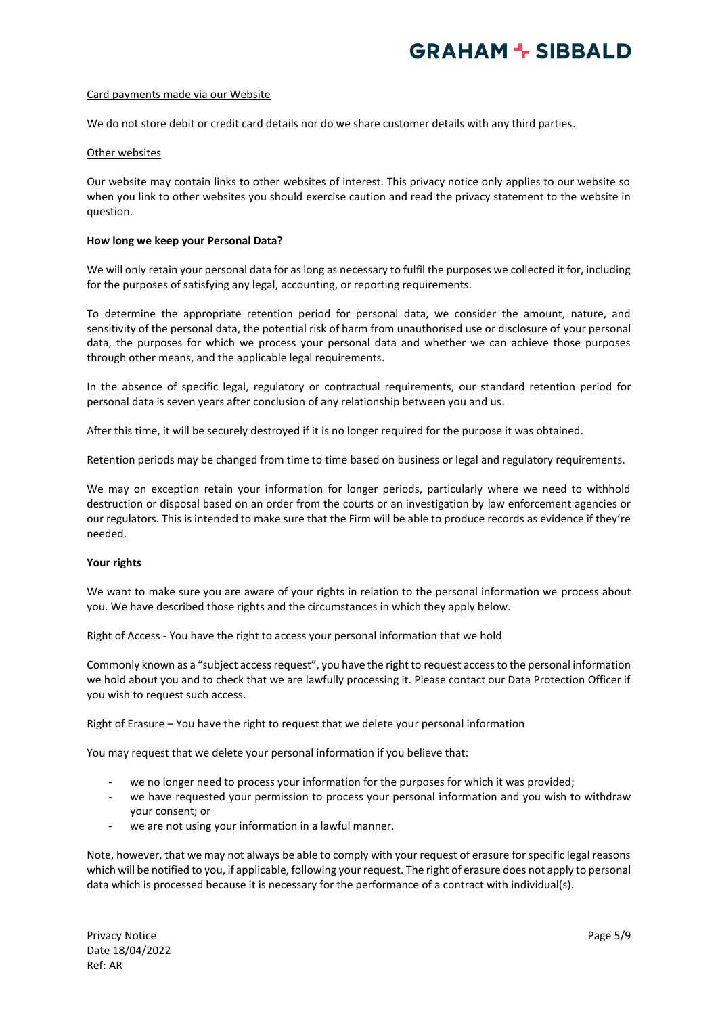#### Card payments made via our Website

We do not store debit or credit card details nor do we share customer details with any third parties.

#### Other websites

Our website may contain links to other websites of interest. This privacy notice only applies to our website so when you link to other websites you should exercise caution and read the privacy statement to the website in question.

### **How long we keep your Personal Data?**

We will only retain your personal data for as long as necessary to fulfil the purposes we collected it for, including for the purposes of satisfying any legal, accounting, or reporting requirements.

To determine the appropriate retention period for personal data, we consider the amount, nature, and sensitivity of the personal data, the potential risk of harm from unauthorised use or disclosure of your personal data, the purposes for which we process your personal data and whether we can achieve those purposes through other means, and the applicable legal requirements.

In the absence of specific legal, regulatory or contractual requirements, our standard retention period for personal data is seven years after conclusion of any relationship between you and us.

After this time, it will be securely destroyed if it is no longer required for the purpose it was obtained.

Retention periods may be changed from time to time based on business or legal and regulatory requirements.

We may on exception retain your information for longer periods, particularly where we need to withhold destruction or disposal based on an order from the courts or an investigation by law enforcement agencies or our regulators. This is intended to make sure that the Firm will be able to produce records as evidence if they're needed.

## **Your rights**

We want to make sure you are aware of your rights in relation to the personal information we process about you. We have described those rights and the circumstances in which they apply below.

#### Right of Access - You have the right to access your personal information that we hold

Commonly known as a "subject access request", you have the right to request access to the personal information we hold about you and to check that we are lawfully processing it. Please contact our Data Protection Officer if you wish to request such access.

#### Right of Erasure – You have the right to request that we delete your personal information

You may request that we delete your personal information if you believe that:

- we no longer need to process your information for the purposes for which it was provided;
- we have requested your permission to process your personal information and you wish to withdraw your consent; or
- we are not using your information in a lawful manner.

Note, however, that we may not always be able to comply with your request of erasure for specific legal reasons which will be notified to you, if applicable, following your request. The right of erasure does not apply to personal data which is processed because it is necessary for the performance of a contract with individual(s).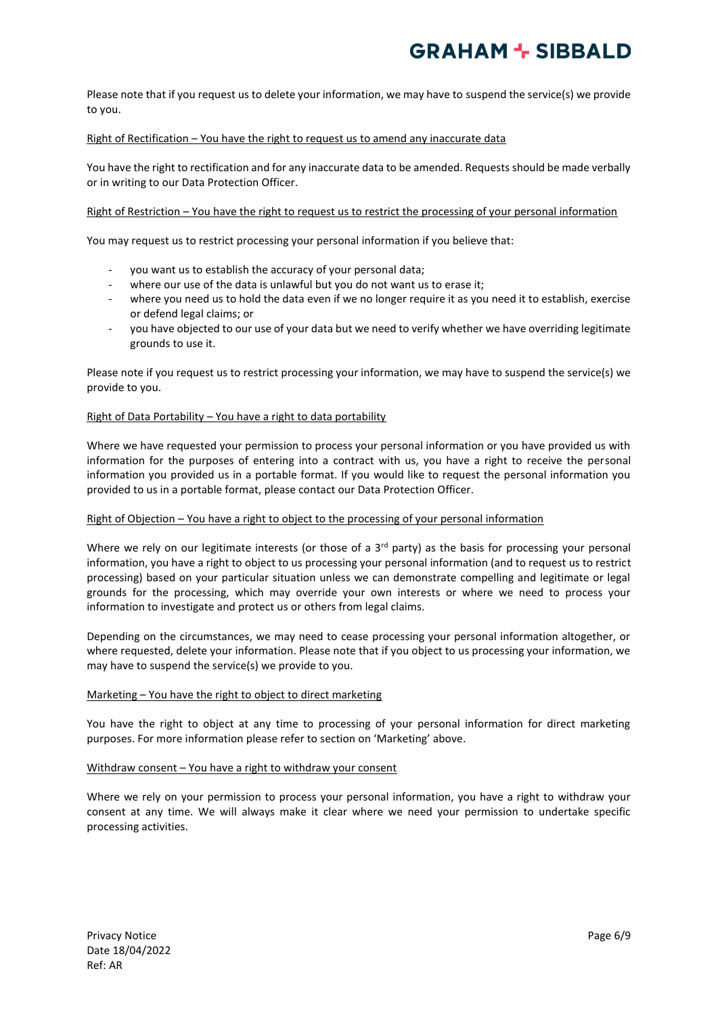Please note that if you request us to delete your information, we may have to suspend the service(s) we provide to you.

## Right of Rectification – You have the right to request us to amend any inaccurate data

You have the right to rectification and for any inaccurate data to be amended. Requests should be made verbally or in writing to our Data Protection Officer.

### Right of Restriction – You have the right to request us to restrict the processing of your personal information

You may request us to restrict processing your personal information if you believe that:

- you want us to establish the accuracy of your personal data;
- where our use of the data is unlawful but you do not want us to erase it;
- where you need us to hold the data even if we no longer require it as you need it to establish, exercise or defend legal claims; or
- you have objected to our use of your data but we need to verify whether we have overriding legitimate grounds to use it.

Please note if you request us to restrict processing your information, we may have to suspend the service(s) we provide to you.

#### Right of Data Portability – You have a right to data portability

Where we have requested your permission to process your personal information or you have provided us with information for the purposes of entering into a contract with us, you have a right to receive the personal information you provided us in a portable format. If you would like to request the personal information you provided to us in a portable format, please contact our Data Protection Officer.

#### Right of Objection – You have a right to object to the processing of your personal information

Where we rely on our legitimate interests (or those of a  $3<sup>rd</sup>$  party) as the basis for processing your personal information, you have a right to object to us processing your personal information (and to request us to restrict processing) based on your particular situation unless we can demonstrate compelling and legitimate or legal grounds for the processing, which may override your own interests or where we need to process your information to investigate and protect us or others from legal claims.

Depending on the circumstances, we may need to cease processing your personal information altogether, or where requested, delete your information. Please note that if you object to us processing your information, we may have to suspend the service(s) we provide to you.

#### Marketing – You have the right to object to direct marketing

You have the right to object at any time to processing of your personal information for direct marketing purposes. For more information please refer to section on 'Marketing' above.

#### Withdraw consent – You have a right to withdraw your consent

Where we rely on your permission to process your personal information, you have a right to withdraw your consent at any time. We will always make it clear where we need your permission to undertake specific processing activities.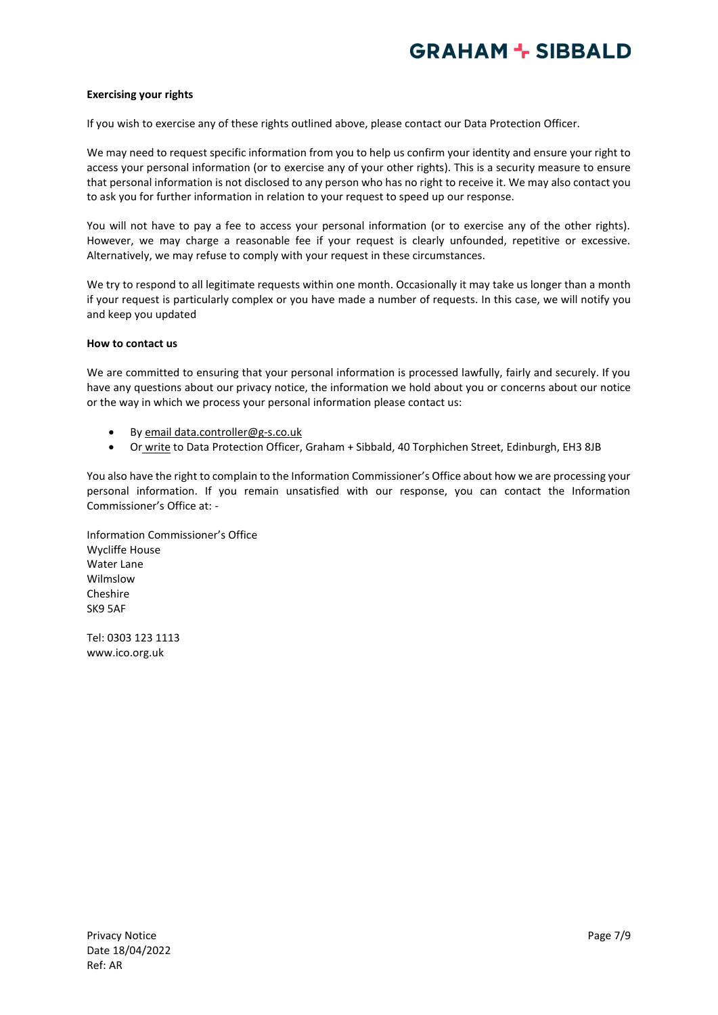### **Exercising your rights**

If you wish to exercise any of these rights outlined above, please contact our Data Protection Officer.

We may need to request specific information from you to help us confirm your identity and ensure your right to access your personal information (or to exercise any of your other rights). This is a security measure to ensure that personal information is not disclosed to any person who has no right to receive it. We may also contact you to ask you for further information in relation to your request to speed up our response.

You will not have to pay a fee to access your personal information (or to exercise any of the other rights). However, we may charge a reasonable fee if your request is clearly unfounded, repetitive or excessive. Alternatively, we may refuse to comply with your request in these circumstances.

We try to respond to all legitimate requests within one month. Occasionally it may take us longer than a month if your request is particularly complex or you have made a number of requests. In this case, we will notify you and keep you updated

#### **How to contact us**

We are committed to ensuring that your personal information is processed lawfully, fairly and securely. If you have any questions about our privacy notice, the information we hold about you or concerns about our notice or the way in which we process your personal information please contact us:

- By email data.controller@g-s.co.uk
- Or write to Data Protection Officer, Graham + Sibbald, 40 Torphichen Street, Edinburgh, EH3 8JB

You also have the right to complain to the Information Commissioner's Office about how we are processing your personal information. If you remain unsatisfied with our response, you can contact the Information Commissioner's Office at: -

Information Commissioner's Office Wycliffe House Water Lane Wilmslow Cheshire SK9 5AF

Tel: 0303 123 1113 www.ico.org.uk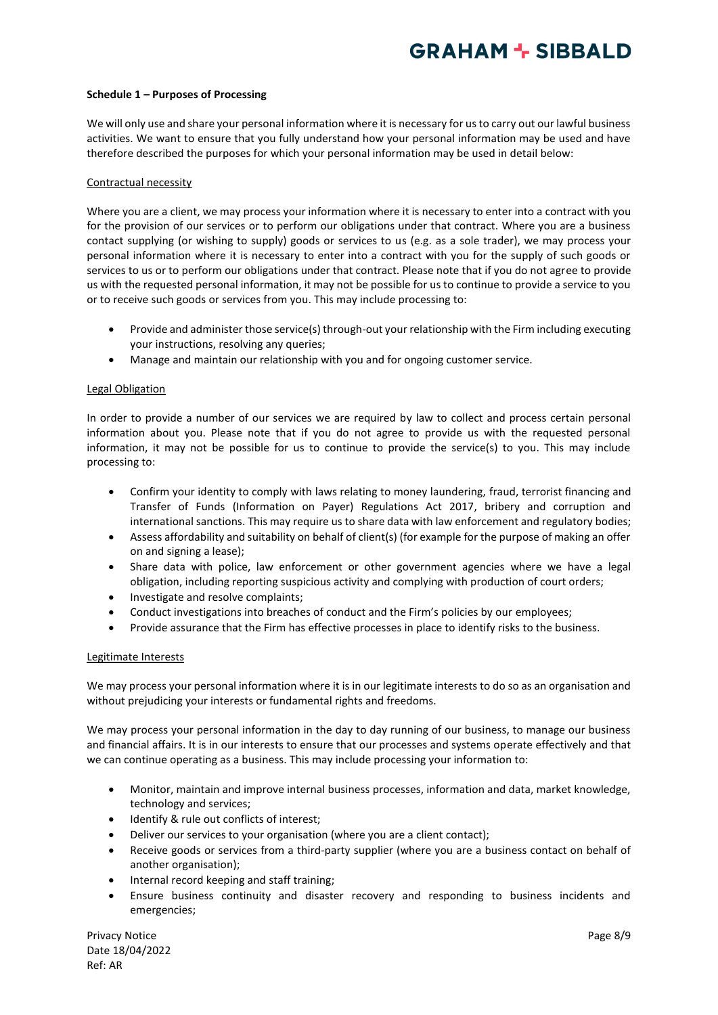### **Schedule 1 – Purposes of Processing**

We will only use and share your personal information where it is necessary for us to carry out our lawful business activities. We want to ensure that you fully understand how your personal information may be used and have therefore described the purposes for which your personal information may be used in detail below:

### Contractual necessity

Where you are a client, we may process your information where it is necessary to enter into a contract with you for the provision of our services or to perform our obligations under that contract. Where you are a business contact supplying (or wishing to supply) goods or services to us (e.g. as a sole trader), we may process your personal information where it is necessary to enter into a contract with you for the supply of such goods or services to us or to perform our obligations under that contract. Please note that if you do not agree to provide us with the requested personal information, it may not be possible for us to continue to provide a service to you or to receive such goods or services from you. This may include processing to:

- Provide and administer those service(s) through-out your relationship with the Firm including executing your instructions, resolving any queries;
- Manage and maintain our relationship with you and for ongoing customer service.

#### Legal Obligation

In order to provide a number of our services we are required by law to collect and process certain personal information about you. Please note that if you do not agree to provide us with the requested personal information, it may not be possible for us to continue to provide the service(s) to you. This may include processing to:

- Confirm your identity to comply with laws relating to money laundering, fraud, terrorist financing and Transfer of Funds (Information on Payer) Regulations Act 2017, bribery and corruption and international sanctions. This may require us to share data with law enforcement and regulatory bodies;
- Assess affordability and suitability on behalf of client(s) (for example for the purpose of making an offer on and signing a lease);
- Share data with police, law enforcement or other government agencies where we have a legal obligation, including reporting suspicious activity and complying with production of court orders;
- Investigate and resolve complaints;
- Conduct investigations into breaches of conduct and the Firm's policies by our employees;
- Provide assurance that the Firm has effective processes in place to identify risks to the business.

#### Legitimate Interests

We may process your personal information where it is in our legitimate interests to do so as an organisation and without prejudicing your interests or fundamental rights and freedoms.

We may process your personal information in the day to day running of our business, to manage our business and financial affairs. It is in our interests to ensure that our processes and systems operate effectively and that we can continue operating as a business. This may include processing your information to:

- Monitor, maintain and improve internal business processes, information and data, market knowledge, technology and services;
- Identify & rule out conflicts of interest;
- Deliver our services to your organisation (where you are a client contact);
- Receive goods or services from a third-party supplier (where you are a business contact on behalf of another organisation);
- Internal record keeping and staff training;
- Ensure business continuity and disaster recovery and responding to business incidents and emergencies;